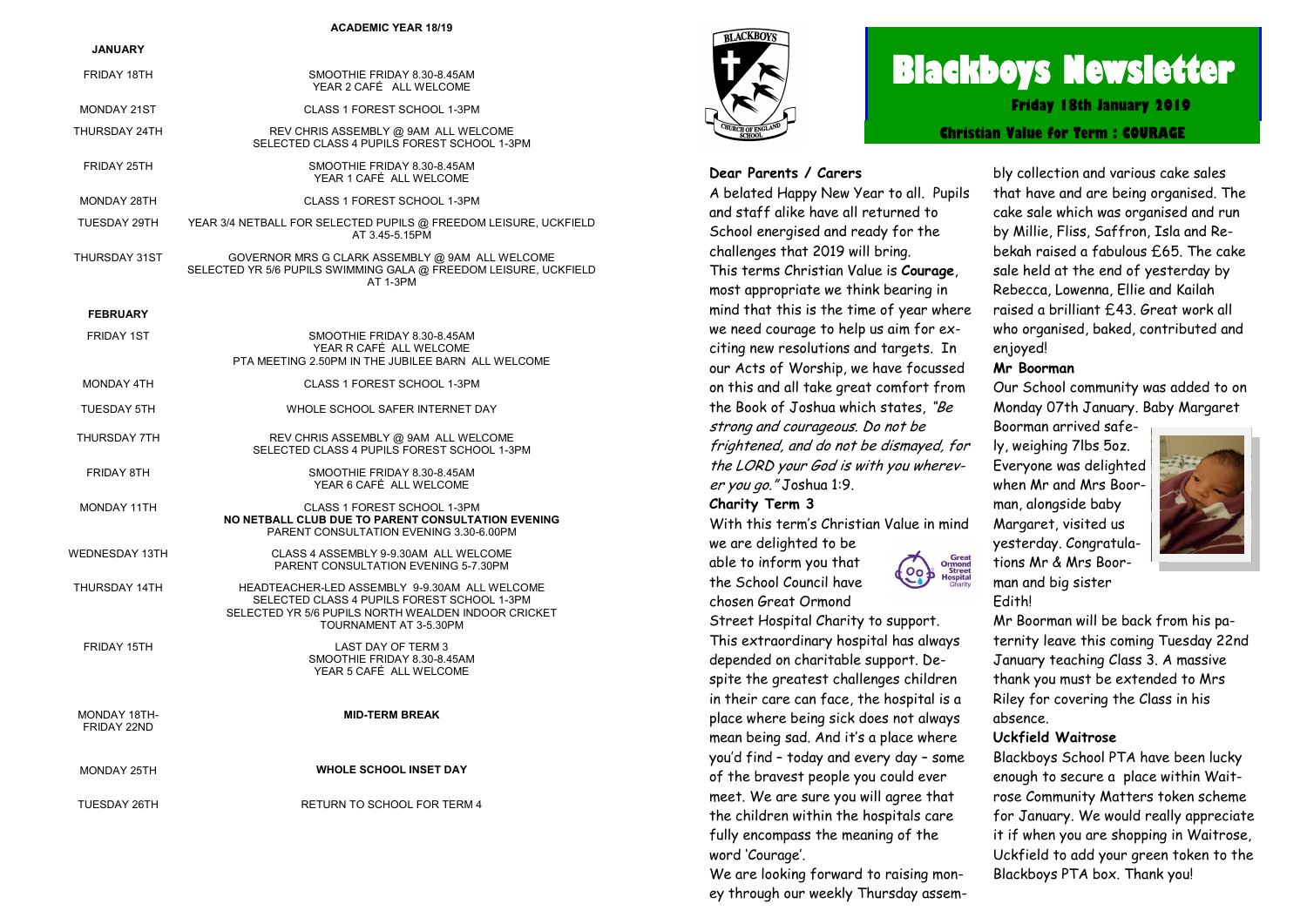#### **ACADEMIC YEAR 18/19**

| JANUARY                     |                                                                                                                                                                               |
|-----------------------------|-------------------------------------------------------------------------------------------------------------------------------------------------------------------------------|
| FRIDAY 18TH                 | SMOOTHIE FRIDAY 8.30-8.45AM<br>YEAR 2 CAFÉ ALL WELCOME                                                                                                                        |
| <b>MONDAY 21ST</b>          | CLASS 1 FOREST SCHOOL 1-3PM                                                                                                                                                   |
| THURSDAY 24TH               | REV CHRIS ASSEMBLY @ 9AM ALL WELCOME<br>SELECTED CLASS 4 PUPILS FOREST SCHOOL 1-3PM                                                                                           |
| FRIDAY 25TH                 | SMOOTHIE FRIDAY 8.30-8.45AM<br>YEAR 1 CAFÉ ALL WELCOME                                                                                                                        |
| MONDAY 28TH                 | CLASS 1 FOREST SCHOOL 1-3PM                                                                                                                                                   |
| TUESDAY 29TH                | YEAR 3/4 NETBALL FOR SELECTED PUPILS @ FREEDOM LEISURE, UCKFIELD<br>AT 3.45-5.15PM                                                                                            |
| THURSDAY 31ST               | GOVERNOR MRS G CLARK ASSEMBLY @ 9AM ALL WELCOME<br>SELECTED YR 5/6 PUPILS SWIMMING GALA @ FREEDOM LEISURE, UCKFIELD<br>AT 1-3PM                                               |
| <b>FEBRUARY</b>             |                                                                                                                                                                               |
| <b>FRIDAY 1ST</b>           | SMOOTHIE FRIDAY 8.30-8.45AM<br>YEAR R CAFÉ ALL WELCOME<br>PTA MEETING 2.50PM IN THE JUBILEE BARN ALL WELCOME                                                                  |
| <b>MONDAY 4TH</b>           | CLASS 1 FOREST SCHOOL 1-3PM                                                                                                                                                   |
| <b>TUESDAY 5TH</b>          | WHOLE SCHOOL SAFER INTERNET DAY                                                                                                                                               |
| THURSDAY 7TH                | REV CHRIS ASSEMBLY @ 9AM ALL WELCOME<br>SELECTED CLASS 4 PUPILS FOREST SCHOOL 1-3PM                                                                                           |
| <b>FRIDAY 8TH</b>           | SMOOTHIE FRIDAY 8.30-8.45AM<br>YEAR 6 CAFÉ ALL WELCOME                                                                                                                        |
| <b>MONDAY 11TH</b>          | CLASS 1 FOREST SCHOOL 1-3PM<br>NO NETBALL CLUB DUE TO PARENT CONSULTATION EVENING<br>PARENT CONSULTATION EVENING 3.30-6.00PM                                                  |
| <b>WEDNESDAY 13TH</b>       | CLASS 4 ASSEMBLY 9-9.30AM ALL WELCOME<br>PARENT CONSULTATION EVENING 5-7.30PM                                                                                                 |
| THURSDAY 14TH               | HEADTEACHER-LED ASSEMBLY 9-9.30AM ALL WELCOME<br>SELECTED CLASS 4 PUPILS FOREST SCHOOL 1-3PM<br>SELECTED YR 5/6 PUPILS NORTH WEALDEN INDOOR CRICKET<br>TOURNAMENT AT 3-5.30PM |
| FRIDAY 15TH                 | LAST DAY OF TERM 3<br>SMOOTHIE FRIDAY 8.30-8.45AM<br>YEAR 5 CAFÉ ALL WELCOME                                                                                                  |
| MONDAY 18TH-<br>FRIDAY 22ND | <b>MID-TERM BREAK</b>                                                                                                                                                         |
| <b>MONDAY 25TH</b>          | <b>WHOLE SCHOOL INSET DAY</b>                                                                                                                                                 |
| <b>TUESDAY 26TH</b>         | RETURN TO SCHOOL FOR TERM 4                                                                                                                                                   |



# **Blackboys Newsletter**

**Friday 18th January 2019**

**Christian Value for Term : COURAGE**

#### **Dear Parents / Carers**

A belated Happy New Year to all. Pupils and staff alike have all returned to School energised and ready for the challenges that 2019 will bring. This terms Christian Value is **Courage**, most appropriate we think bearing in mind that this is the time of year where we need courage to help us aim for exciting new resolutions and targets. In our Acts of Worship, we have focussed on this and all take great comfort from the Book of Joshua which states, "Be strong and courageous. Do not be frightened, and do not be dismayed, for the LORD your God is with you wherever you go." Joshua 1:9.

#### **Charity Term 3**

chosen Great Ormond

With this term's Christian Value in mind we are delighted to be able to inform you that the School Council have

Street Hospital Charity to support. This extraordinary hospital has always depended on charitable support. Despite the greatest challenges children in their care can face, the hospital is a place where being sick does not always mean being sad. And it's a place where you'd find – today and every day – some of the bravest people you could ever meet. We are sure you will agree that the children within the hospitals care fully encompass the meaning of the word 'Courage'.

We are looking forward to raising money through our weekly Thursday assem-

bly collection and various cake sales that have and are being organised. The cake sale which was organised and run by Millie, Fliss, Saffron, Isla and Rebekah raised a fabulous £65. The cake sale held at the end of yesterday by Rebecca, Lowenna, Ellie and Kailah raised a brilliant £43. Great work all who organised, baked, contributed and enjoyed!

#### **Mr Boorman**

Our School community was added to on Monday 07th January. Baby Margaret

Boorman arrived safely, weighing 7lbs 5oz. Everyone was delighted when Mr and Mrs Boorman, alongside baby Margaret, visited us yesterday. Congratulations Mr & Mrs Boorman and big sister





Great<br>Ormond<br>Street<br>Hospital

Mr Boorman will be back from his paternity leave this coming Tuesday 22nd January teaching Class 3. A massive thank you must be extended to Mrs Riley for covering the Class in his absence.

#### **Uckfield Waitrose**

Blackboys School PTA have been lucky enough to secure a place within Waitrose Community Matters token scheme for January. We would really appreciate it if when you are shopping in Waitrose, Uckfield to add your green token to the Blackboys PTA box. Thank you!